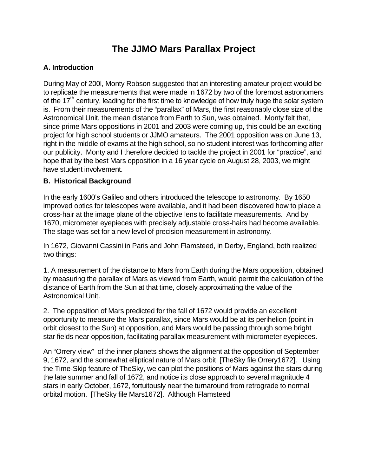# **The JJMO Mars Parallax Project**

### **A. Introduction**

During May of 200l, Monty Robson suggested that an interesting amateur project would be to replicate the measurements that were made in 1672 by two of the foremost astronomers of the  $17<sup>th</sup>$  century, leading for the first time to knowledge of how truly huge the solar system is. From their measurements of the "parallax" of Mars, the first reasonably close size of the Astronomical Unit, the mean distance from Earth to Sun, was obtained. Monty felt that, since prime Mars oppositions in 2001 and 2003 were coming up, this could be an exciting project for high school students or JJMO amateurs. The 2001 opposition was on June 13, right in the middle of exams at the high school, so no student interest was forthcoming after our publicity. Monty and I therefore decided to tackle the project in 2001 for "practice", and hope that by the best Mars opposition in a 16 year cycle on August 28, 2003, we might have student involvement.

#### **B. Historical Background**

In the early 1600's Galileo and others introduced the telescope to astronomy. By 1650 improved optics for telescopes were available, and it had been discovered how to place a cross-hair at the image plane of the objective lens to facilitate measurements. And by 1670, micrometer eyepieces with precisely adjustable cross-hairs had become available. The stage was set for a new level of precision measurement in astronomy.

In 1672, Giovanni Cassini in Paris and John Flamsteed, in Derby, England, both realized two things:

1. A measurement of the distance to Mars from Earth during the Mars opposition, obtained by measuring the parallax of Mars as viewed from Earth, would permit the calculation of the distance of Earth from the Sun at that time, closely approximating the value of the Astronomical Unit.

2. The opposition of Mars predicted for the fall of 1672 would provide an excellent opportunity to measure the Mars parallax, since Mars would be at its perihelion (point in orbit closest to the Sun) at opposition, and Mars would be passing through some bright star fields near opposition, facilitating parallax measurement with micrometer eyepieces.

An "Orrery view" of the inner planets shows the alignment at the opposition of September 9, 1672, and the somewhat elliptical nature of Mars orbit [TheSky file Orrery1672]. Using the Time-Skip feature of TheSky, we can plot the positions of Mars against the stars during the late summer and fall of 1672, and notice its close approach to several magnitude 4 stars in early October, 1672, fortuitously near the turnaround from retrograde to normal orbital motion. [TheSky file Mars1672]. Although Flamsteed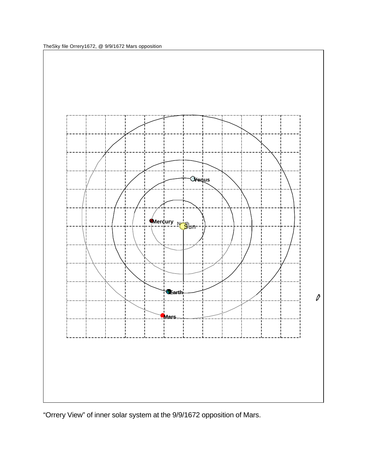TheSky file Orrery1672, @ 9/9/1672 Mars opposition



"Orrery View" of inner solar system at the 9/9/1672 opposition of Mars.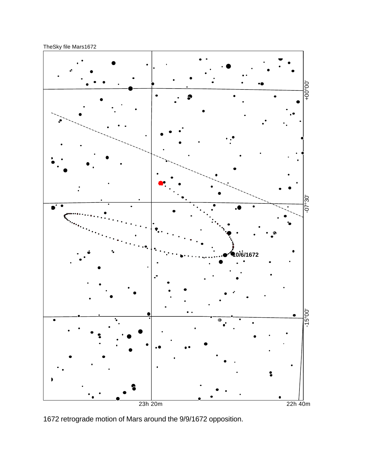TheSky file Mars1672



1672 retrograde motion of Mars around the 9/9/1672 opposition.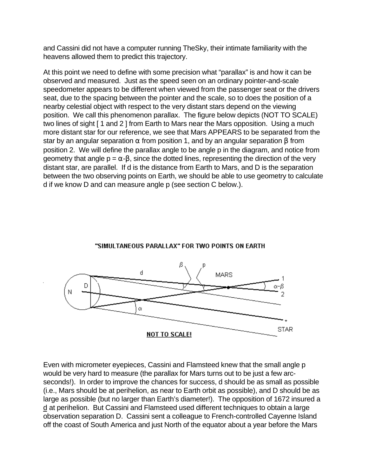and Cassini did not have a computer running TheSky, their intimate familiarity with the heavens allowed them to predict this trajectory.

At this point we need to define with some precision what "parallax" is and how it can be observed and measured. Just as the speed seen on an ordinary pointer-and-scale speedometer appears to be different when viewed from the passenger seat or the drivers seat, due to the spacing between the pointer and the scale, so to does the position of a nearby celestial object with respect to the very distant stars depend on the viewing position. We call this phenomenon parallax. The figure below depicts (NOT TO SCALE) two lines of sight [1 and 2 ] from Earth to Mars near the Mars opposition. Using a much more distant star for our reference, we see that Mars APPEARS to be separated from the star by an angular separation  $\alpha$  from position 1, and by an angular separation  $\beta$  from position 2. We will define the parallax angle to be angle p in the diagram, and notice from geometry that angle  $p = \alpha - \beta$ , since the dotted lines, representing the direction of the very distant star, are parallel. If d is the distance from Earth to Mars, and D is the separation between the two observing points on Earth, we should be able to use geometry to calculate d if we know D and can measure angle p (see section C below.).





Even with micrometer eyepieces, Cassini and Flamsteed knew that the small angle p would be very hard to measure (the parallax for Mars turns out to be just a few arcseconds!). In order to improve the chances for success, d should be as small as possible (i.e., Mars should be at perihelion, as near to Earth orbit as possible), and D should be as large as possible (but no larger than Earth's diameter!). The opposition of 1672 insured a d at perihelion. But Cassini and Flamsteed used different techniques to obtain a large observation separation D. Cassini sent a colleague to French-controlled Cayenne Island off the coast of South America and just North of the equator about a year before the Mars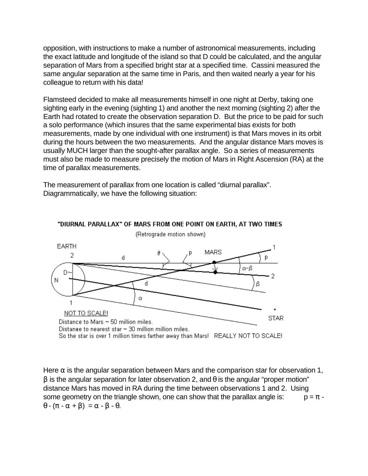opposition, with instructions to make a number of astronomical measurements, including the exact latitude and longitude of the island so that D could be calculated, and the angular separation of Mars from a specified bright star at a specified time. Cassini measured the same angular separation at the same time in Paris, and then waited nearly a year for his colleague to return with his data!

Flamsteed decided to make all measurements himself in one night at Derby, taking one sighting early in the evening (sighting 1) and another the next morning (sighting 2) after the Earth had rotated to create the observation separation D. But the price to be paid for such a solo performance (which insures that the same experimental bias exists for both measurements, made by one individual with one instrument) is that Mars moves in its orbit during the hours between the two measurements. And the angular distance Mars moves is usually MUCH larger than the sought-after parallax angle. So a series of measurements must also be made to measure precisely the motion of Mars in Right Ascension (RA) at the time of parallax measurements.

The measurement of parallax from one location is called "diurnal parallax". Diagrammatically, we have the following situation:



"DIURNAL PARALLAX" OF MARS FROM ONE POINT ON EARTH, AT TWO TIMES

Here  $\alpha$  is the angular separation between Mars and the comparison star for observation 1,  $β$  is the angular separation for later observation 2, and  $θ$  is the angular "proper motion" distance Mars has moved in RA during the time between observations 1 and 2. Using some geometry on the triangle shown, one can show that the parallax angle is:  $p = \pi \theta$  -  $(\pi - \alpha + \beta) = \alpha - \beta - \theta$ .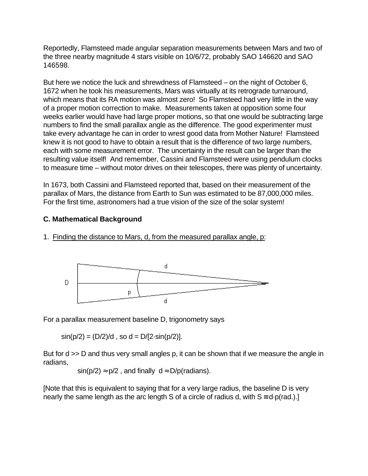Reportedly, Flamsteed made angular separation measurements between Mars and two of the three nearby magnitude 4 stars visible on 10/6/72, probably SAO 146620 and SAO 146598.

But here we notice the luck and shrewdness of Flamsteed – on the night of October 6, 1672 when he took his measurements, Mars was virtually at its retrograde turnaround, which means that its RA motion was almost zero! So Flamsteed had very little in the way of a proper motion correction to make. Measurements taken at opposition some four weeks earlier would have had large proper motions, so that one would be subtracting large numbers to find the small parallax angle as the difference. The good experimenter must take every advantage he can in order to wrest good data from Mother Nature! Flamsteed knew it is not good to have to obtain a result that is the difference of two large numbers, each with some measurement error. The uncertainty in the result can be larger than the resulting value itself! And remember, Cassini and Flamsteed were using pendulum clocks to measure time – without motor drives on their telescopes, there was plenty of uncertainty.

In 1673, both Cassini and Flamsteed reported that, based on their measurement of the parallax of Mars, the distance from Earth to Sun was estimated to be 87,000,000 miles. For the first time, astronomers had a true vision of the size of the solar system!

#### **C. Mathematical Background**

1. Finding the distance to Mars, d, from the measured parallax angle, p:



For a parallax measurement baseline D, trigonometry says

 $sin(p/2) = (D/2)/d$ , so  $d = D/[2 \cdot sin(p/2)]$ .

But for d >> D and thus very small angles p, it can be shown that if we measure the angle in radians,

 $sin(p/2) \approx p/2$ , and finally  $d \approx D/p$ (radians).

[Note that this is equivalent to saying that for a very large radius, the baseline D is very nearly the same length as the arc length S of a circle of radius d, with  $S = d \cdot p(\text{rad.})$ .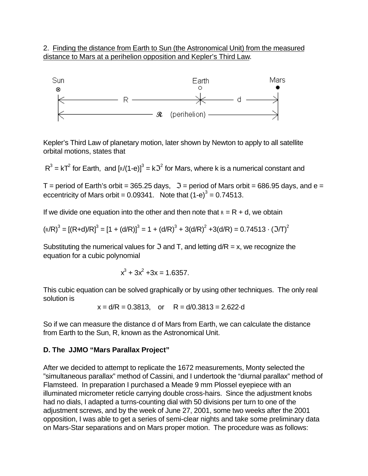2. Finding the distance from Earth to Sun (the Astronomical Unit) from the measured distance to Mars at a perihelion opposition and Kepler's Third Law.



Kepler's Third Law of planetary motion, later shown by Newton to apply to all satellite orbital motions, states that

 $R^3 = kT^2$  for Earth, and  $[\sqrt{r^2 + 4} + 3]$  for Mars, where k is a numerical constant and

T = period of Earth's orbit = 365.25 days,  $\Im$  = period of Mars orbit = 686.95 days, and e = eccentricity of Mars orbit = 0.09341. Note that  $(1-e)^3$  = 0.74513.

If we divide one equation into the other and then note that  $R = R + d$ , we obtain

$$
(\text{R/R})^3 = [(\text{R+d})/\text{R}]^3 = [1 + (\text{d/R})]^3 = 1 + (\text{d/R})^3 + 3(\text{d/R})^2 + 3(\text{d/R}) = 0.74513 \cdot (3/\text{T})^2
$$

Substituting the numerical values for  $\Im$  and T, and letting  $d/R = x$ , we recognize the equation for a cubic polynomial

$$
x^3 + 3x^2 + 3x = 1.6357.
$$

This cubic equation can be solved graphically or by using other techniques. The only real solution is

$$
x = d/R = 0.3813
$$
, or  $R = d/0.3813 = 2.622 \text{ d}$ 

So if we can measure the distance d of Mars from Earth, we can calculate the distance from Earth to the Sun, R, known as the Astronomical Unit.

#### **D. The JJMO "Mars Parallax Project"**

After we decided to attempt to replicate the 1672 measurements, Monty selected the "simultaneous parallax" method of Cassini, and I undertook the "diurnal parallax" method of Flamsteed. In preparation I purchased a Meade 9 mm Plossel eyepiece with an illuminated micrometer reticle carrying double cross-hairs. Since the adjustment knobs had no dials, I adapted a turns-counting dial with 50 divisions per turn to one of the adjustment screws, and by the week of June 27, 2001, some two weeks after the 2001 opposition, I was able to get a series of semi-clear nights and take some preliminary data on Mars-Star separations and on Mars proper motion. The procedure was as follows: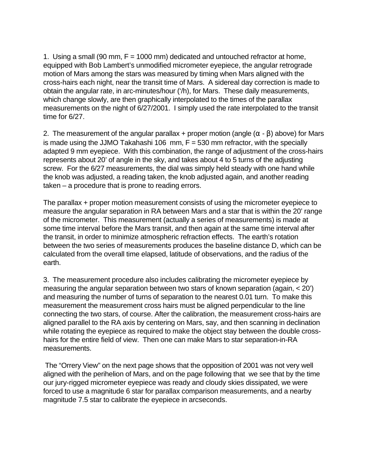1. Using a small (90 mm, F = 1000 mm) dedicated and untouched refractor at home, equipped with Bob Lambert's unmodified micrometer eyepiece, the angular retrograde motion of Mars among the stars was measured by timing when Mars aligned with the cross-hairs each night, near the transit time of Mars. A sidereal day correction is made to obtain the angular rate, in arc-minutes/hour ('/h), for Mars. These daily measurements, which change slowly, are then graphically interpolated to the times of the parallax measurements on the night of 6/27/2001. I simply used the rate interpolated to the transit time for 6/27.

2. The measurement of the angular parallax + proper motion (angle  $(\alpha - \beta)$ ) above) for Mars is made using the JJMO Takahashi 106 mm,  $F = 530$  mm refractor, with the specially adapted 9 mm eyepiece. With this combination, the range of adjustment of the cross-hairs represents about 20' of angle in the sky, and takes about 4 to 5 turns of the adjusting screw. For the 6/27 measurements, the dial was simply held steady with one hand while the knob was adjusted, a reading taken, the knob adjusted again, and another reading taken – a procedure that is prone to reading errors.

The parallax + proper motion measurement consists of using the micrometer eyepiece to measure the angular separation in RA between Mars and a star that is within the 20' range of the micrometer. This measurement (actually a series of measurements) is made at some time interval before the Mars transit, and then again at the same time interval after the transit, in order to minimize atmospheric refraction effects. The earth's rotation between the two series of measurements produces the baseline distance D, which can be calculated from the overall time elapsed, latitude of observations, and the radius of the earth.

3. The measurement procedure also includes calibrating the micrometer eyepiece by measuring the angular separation between two stars of known separation (again, < 20') and measuring the number of turns of separation to the nearest 0.01 turn. To make this measurement the measurement cross hairs must be aligned perpendicular to the line connecting the two stars, of course. After the calibration, the measurement cross-hairs are aligned parallel to the RA axis by centering on Mars, say, and then scanning in declination while rotating the eyepiece as required to make the object stay between the double crosshairs for the entire field of view. Then one can make Mars to star separation-in-RA measurements.

 The "Orrery View" on the next page shows that the opposition of 2001 was not very well aligned with the perihelion of Mars, and on the page following that we see that by the time our jury-rigged micrometer eyepiece was ready and cloudy skies dissipated, we were forced to use a magnitude 6 star for parallax comparison measurements, and a nearby magnitude 7.5 star to calibrate the eyepiece in arcseconds.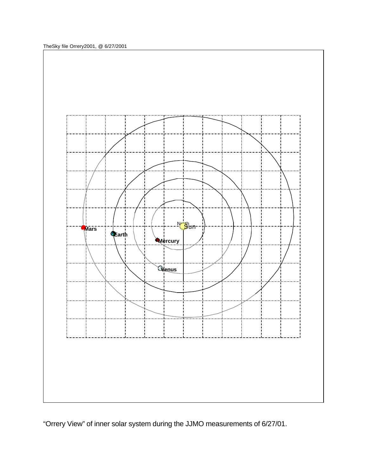TheSky file Orrery2001, @ 6/27/2001



"Orrery View" of inner solar system during the JJMO measurements of 6/27/01.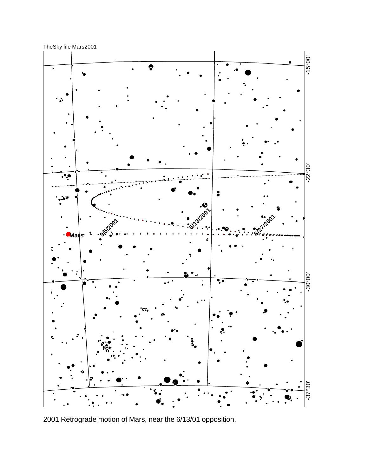TheSky file Mars2001



2001 Retrograde motion of Mars, near the 6/13/01 opposition.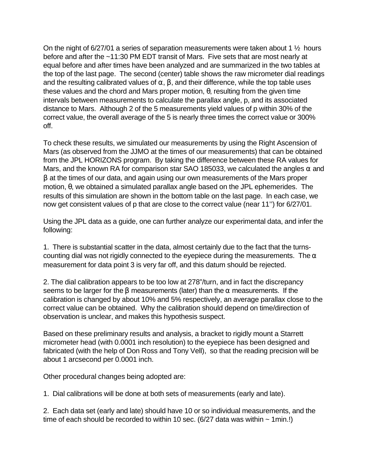On the night of 6/27/01 a series of separation measurements were taken about 1  $\frac{1}{2}$  hours before and after the ~11:30 PM EDT transit of Mars. Five sets that are most nearly at equal before and after times have been analyzed and are summarized in the two tables at the top of the last page. The second (center) table shows the raw micrometer dial readings and the resulting calibrated values of  $\alpha$ ,  $\beta$ , and their difference, while the top table uses these values and the chord and Mars proper motion,  $θ$ , resulting from the given time intervals between measurements to calculate the parallax angle, p, and its associated distance to Mars. Although 2 of the 5 measurements yield values of p within 30% of the correct value, the overall average of the 5 is nearly three times the correct value or 300% off.

To check these results, we simulated our measurements by using the Right Ascension of Mars (as observed from the JJMO at the times of our measurements) that can be obtained from the JPL HORIZONS program. By taking the difference between these RA values for Mars, and the known RA for comparison star SAO 185033, we calculated the angles  $\alpha$  and β at the times of our data, and again using our own measurements of the Mars proper motion, θ, we obtained a simulated parallax angle based on the JPL ephemerides. The results of this simulation are shown in the bottom table on the last page. In each case, we now get consistent values of p that are close to the correct value (near 11'') for 6/27/01.

Using the JPL data as a guide, one can further analyze our experimental data, and infer the following:

1. There is substantial scatter in the data, almost certainly due to the fact that the turnscounting dial was not rigidly connected to the eyepiece during the measurements. The  $\alpha$ measurement for data point 3 is very far off, and this datum should be rejected.

2. The dial calibration appears to be too low at 278"/turn, and in fact the discrepancy seems to be larger for the  $\beta$  measurements (later) than the  $\alpha$  measurements. If the calibration is changed by about 10% and 5% respectively, an average parallax close to the correct value can be obtained. Why the calibration should depend on time/direction of observation is unclear, and makes this hypothesis suspect.

Based on these preliminary results and analysis, a bracket to rigidly mount a Starrett micrometer head (with 0.0001 inch resolution) to the eyepiece has been designed and fabricated (with the help of Don Ross and Tony Vell), so that the reading precision will be about 1 arcsecond per 0.0001 inch.

Other procedural changes being adopted are:

1. Dial calibrations will be done at both sets of measurements (early and late).

2. Each data set (early and late) should have 10 or so individual measurements, and the time of each should be recorded to within 10 sec. (6/27 data was within  $\sim$  1min.!)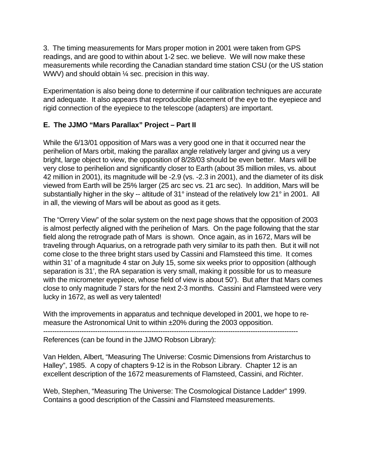3. The timing measurements for Mars proper motion in 2001 were taken from GPS readings, and are good to within about 1-2 sec. we believe. We will now make these measurements while recording the Canadian standard time station CSU (or the US station WWV) and should obtain 1/4 sec. precision in this way.

Experimentation is also being done to determine if our calibration techniques are accurate and adequate. It also appears that reproducible placement of the eye to the eyepiece and rigid connection of the eyepiece to the telescope (adapters) are important.

## **E. The JJMO "Mars Parallax" Project – Part II**

While the 6/13/01 opposition of Mars was a very good one in that it occurred near the perihelion of Mars orbit, making the parallax angle relatively larger and giving us a very bright, large object to view, the opposition of 8/28/03 should be even better. Mars will be very close to perihelion and significantly closer to Earth (about 35 million miles, vs. about 42 million in 2001), its magnitude will be -2.9 (vs. -2.3 in 2001), and the diameter of its disk viewed from Earth will be 25% larger (25 arc sec vs. 21 arc sec). In addition, Mars will be substantially higher in the sky -- altitude of 31° instead of the relatively low 21° in 2001. All in all, the viewing of Mars will be about as good as it gets.

The "Orrery View" of the solar system on the next page shows that the opposition of 2003 is almost perfectly aligned with the perihelion of Mars. On the page following that the star field along the retrograde path of Mars is shown. Once again, as in 1672, Mars will be traveling through Aquarius, on a retrograde path very similar to its path then. But it will not come close to the three bright stars used by Cassini and Flamsteed this time. It comes within 31' of a magnitude 4 star on July 15, some six weeks prior to opposition (although separation is 31', the RA separation is very small, making it possible for us to measure with the micrometer eyepiece, whose field of view is about 50'). But after that Mars comes close to only magnitude 7 stars for the next 2-3 months. Cassini and Flamsteed were very lucky in 1672, as well as very talented!

With the improvements in apparatus and technique developed in 2001, we hope to remeasure the Astronomical Unit to within ±20% during the 2003 opposition.

-----------------------------------------------------------------------------------------------------------------

References (can be found in the JJMO Robson Library):

Van Helden, Albert, "Measuring The Universe: Cosmic Dimensions from Aristarchus to Halley", 1985. A copy of chapters 9-12 is in the Robson Library. Chapter 12 is an excellent description of the 1672 measurements of Flamsteed, Cassini, and Richter.

Web, Stephen, "Measuring The Universe: The Cosmological Distance Ladder" 1999. Contains a good description of the Cassini and Flamsteed measurements.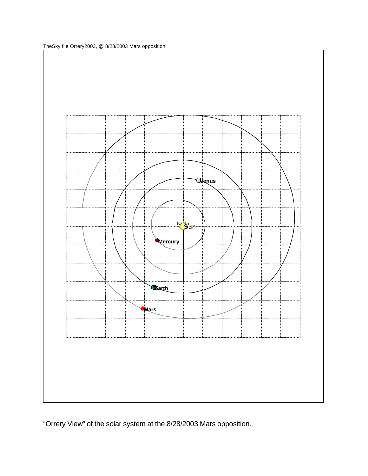TheSky file Orrery2003, @ 8/28/2003 Mars opposition



"Orrery View" of the solar system at the 8/28/2003 Mars opposition.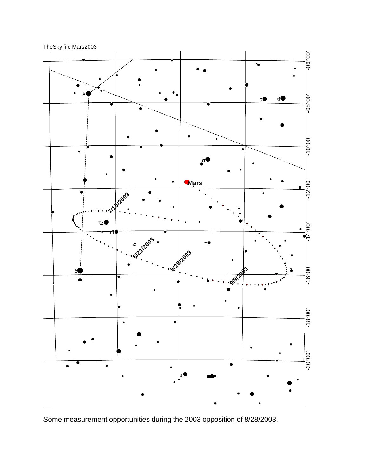TheSky file Mars2003



Some measurement opportunities during the 2003 opposition of 8/28/2003.